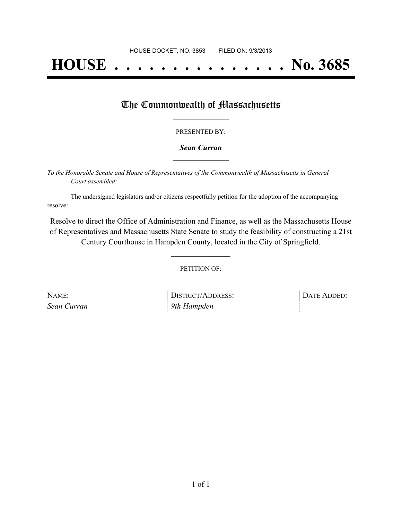# **HOUSE . . . . . . . . . . . . . . . No. 3685**

### The Commonwealth of Massachusetts

#### PRESENTED BY:

#### *Sean Curran* **\_\_\_\_\_\_\_\_\_\_\_\_\_\_\_\_\_**

*To the Honorable Senate and House of Representatives of the Commonwealth of Massachusetts in General Court assembled:*

The undersigned legislators and/or citizens respectfully petition for the adoption of the accompanying resolve:

Resolve to direct the Office of Administration and Finance, as well as the Massachusetts House of Representatives and Massachusetts State Senate to study the feasibility of constructing a 21st Century Courthouse in Hampden County, located in the City of Springfield.

PETITION OF:

**\_\_\_\_\_\_\_\_\_\_\_\_\_\_\_**

| NAME:       | <b>DISTRICT/ADDRESS:</b> | <b>DATE ADDED:</b> |
|-------------|--------------------------|--------------------|
| Sean Curran | 9th Hampden              |                    |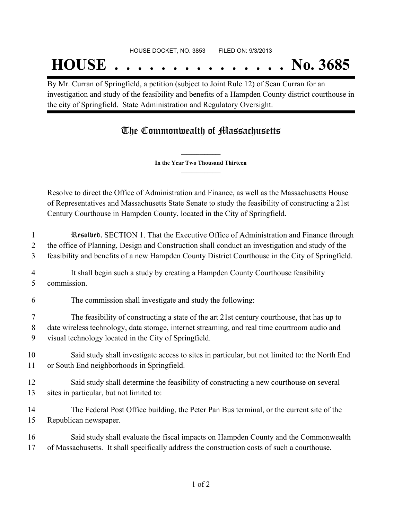## **HOUSE . . . . . . . . . . . . . . . No. 3685**

By Mr. Curran of Springfield, a petition (subject to Joint Rule 12) of Sean Curran for an investigation and study of the feasibility and benefits of a Hampden County district courthouse in the city of Springfield. State Administration and Regulatory Oversight.

## The Commonwealth of Massachusetts

**\_\_\_\_\_\_\_\_\_\_\_\_\_\_\_ In the Year Two Thousand Thirteen \_\_\_\_\_\_\_\_\_\_\_\_\_\_\_**

Resolve to direct the Office of Administration and Finance, as well as the Massachusetts House of Representatives and Massachusetts State Senate to study the feasibility of constructing a 21st Century Courthouse in Hampden County, located in the City of Springfield.

1 Resolved, SECTION 1. That the Executive Office of Administration and Finance through 2 the office of Planning, Design and Construction shall conduct an investigation and study of the 3 feasibility and benefits of a new Hampden County District Courthouse in the City of Springfield.

4 It shall begin such a study by creating a Hampden County Courthouse feasibility 5 commission.

6 The commission shall investigate and study the following:

7 The feasibility of constructing a state of the art 21st century courthouse, that has up to 8 date wireless technology, data storage, internet streaming, and real time courtroom audio and 9 visual technology located in the City of Springfield.

10 Said study shall investigate access to sites in particular, but not limited to: the North End 11 or South End neighborhoods in Springfield.

12 Said study shall determine the feasibility of constructing a new courthouse on several 13 sites in particular, but not limited to:

14 The Federal Post Office building, the Peter Pan Bus terminal, or the current site of the 15 Republican newspaper.

16 Said study shall evaluate the fiscal impacts on Hampden County and the Commonwealth 17 of Massachusetts. It shall specifically address the construction costs of such a courthouse.